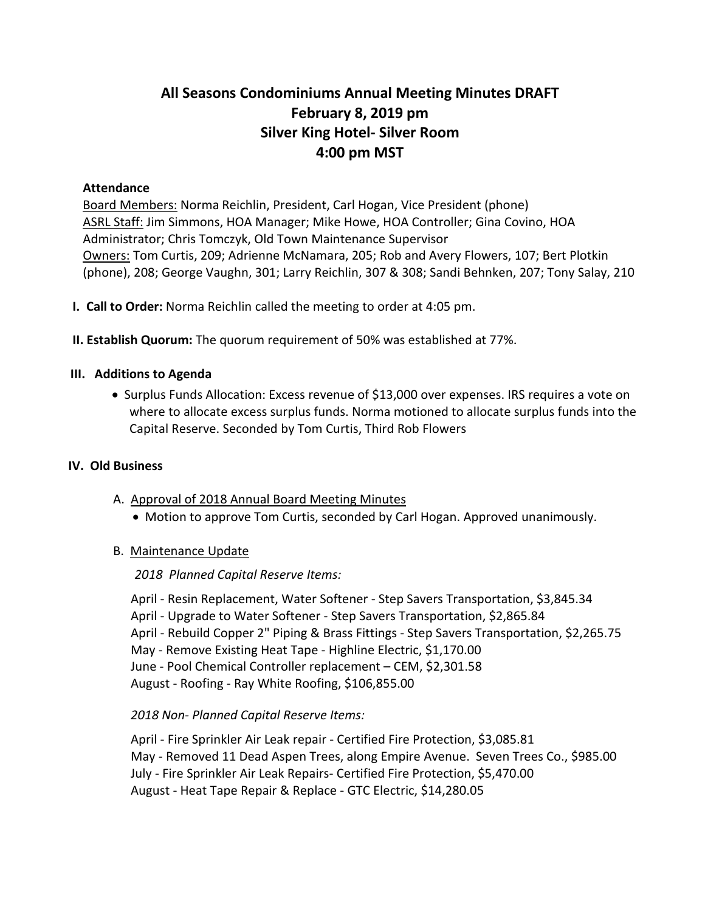# **All Seasons Condominiums Annual Meeting Minutes DRAFT February 8, 2019 pm Silver King Hotel- Silver Room 4:00 pm MST**

#### **Attendance**

Board Members: Norma Reichlin, President, Carl Hogan, Vice President (phone) ASRL Staff: Jim Simmons, HOA Manager; Mike Howe, HOA Controller; Gina Covino, HOA Administrator; Chris Tomczyk, Old Town Maintenance Supervisor Owners: Tom Curtis, 209; Adrienne McNamara, 205; Rob and Avery Flowers, 107; Bert Plotkin (phone), 208; George Vaughn, 301; Larry Reichlin, 307 & 308; Sandi Behnken, 207; Tony Salay, 210

- **I. Call to Order:** Norma Reichlin called the meeting to order at 4:05 pm.
- **II. Establish Quorum:** The quorum requirement of 50% was established at 77%.

## **III. Additions to Agenda**

• Surplus Funds Allocation: Excess revenue of \$13,000 over expenses. IRS requires a vote on where to allocate excess surplus funds. Norma motioned to allocate surplus funds into the Capital Reserve. Seconded by Tom Curtis, Third Rob Flowers

#### **IV. Old Business**

- A. Approval of 2018 Annual Board Meeting Minutes
	- Motion to approve Tom Curtis, seconded by Carl Hogan. Approved unanimously.

#### B. Maintenance Update

#### *2018 Planned Capital Reserve Items:*

April - Resin Replacement, Water Softener - Step Savers Transportation, \$3,845.34 April - Upgrade to Water Softener - Step Savers Transportation, \$2,865.84 April - Rebuild Copper 2" Piping & Brass Fittings - Step Savers Transportation, \$2,265.75 May - Remove Existing Heat Tape - Highline Electric, \$1,170.00 June - Pool Chemical Controller replacement – CEM, \$2,301.58 August - Roofing - Ray White Roofing, \$106,855.00

#### *2018 Non- Planned Capital Reserve Items:*

April - Fire Sprinkler Air Leak repair - Certified Fire Protection, \$3,085.81 May - Removed 11 Dead Aspen Trees, along Empire Avenue. Seven Trees Co., \$985.00 July - Fire Sprinkler Air Leak Repairs- Certified Fire Protection, \$5,470.00 August - Heat Tape Repair & Replace - GTC Electric, \$14,280.05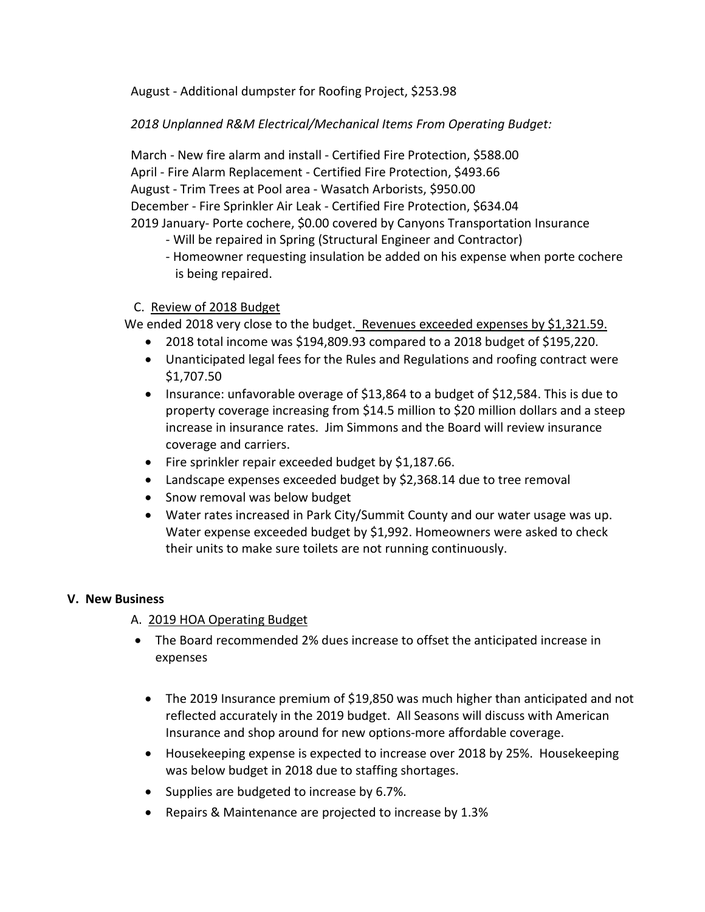August - Additional dumpster for Roofing Project, \$253.98

*2018 Unplanned R&M Electrical/Mechanical Items From Operating Budget:*

March - New fire alarm and install - Certified Fire Protection, \$588.00 April - Fire Alarm Replacement - Certified Fire Protection, \$493.66 August - Trim Trees at Pool area - Wasatch Arborists, \$950.00 December - Fire Sprinkler Air Leak - Certified Fire Protection, \$634.04 2019 January- Porte cochere, \$0.00 covered by Canyons Transportation Insurance

- Will be repaired in Spring (Structural Engineer and Contractor)
- Homeowner requesting insulation be added on his expense when porte cochere is being repaired.

## C. Review of 2018 Budget

We ended 2018 very close to the budget. Revenues exceeded expenses by \$1,321.59.

- 2018 total income was \$194,809.93 compared to a 2018 budget of \$195,220.
- Unanticipated legal fees for the Rules and Regulations and roofing contract were \$1,707.50
- Insurance: unfavorable overage of \$13,864 to a budget of \$12,584. This is due to property coverage increasing from \$14.5 million to \$20 million dollars and a steep increase in insurance rates. Jim Simmons and the Board will review insurance coverage and carriers.
- Fire sprinkler repair exceeded budget by \$1,187.66.
- Landscape expenses exceeded budget by \$2,368.14 due to tree removal
- Snow removal was below budget
- Water rates increased in Park City/Summit County and our water usage was up. Water expense exceeded budget by \$1,992. Homeowners were asked to check their units to make sure toilets are not running continuously.

## **V. New Business**

- A. 2019 HOA Operating Budget
- The Board recommended 2% dues increase to offset the anticipated increase in expenses
	- The 2019 Insurance premium of \$19,850 was much higher than anticipated and not reflected accurately in the 2019 budget. All Seasons will discuss with American Insurance and shop around for new options-more affordable coverage.
	- Housekeeping expense is expected to increase over 2018 by 25%. Housekeeping was below budget in 2018 due to staffing shortages.
	- Supplies are budgeted to increase by 6.7%.
	- Repairs & Maintenance are projected to increase by 1.3%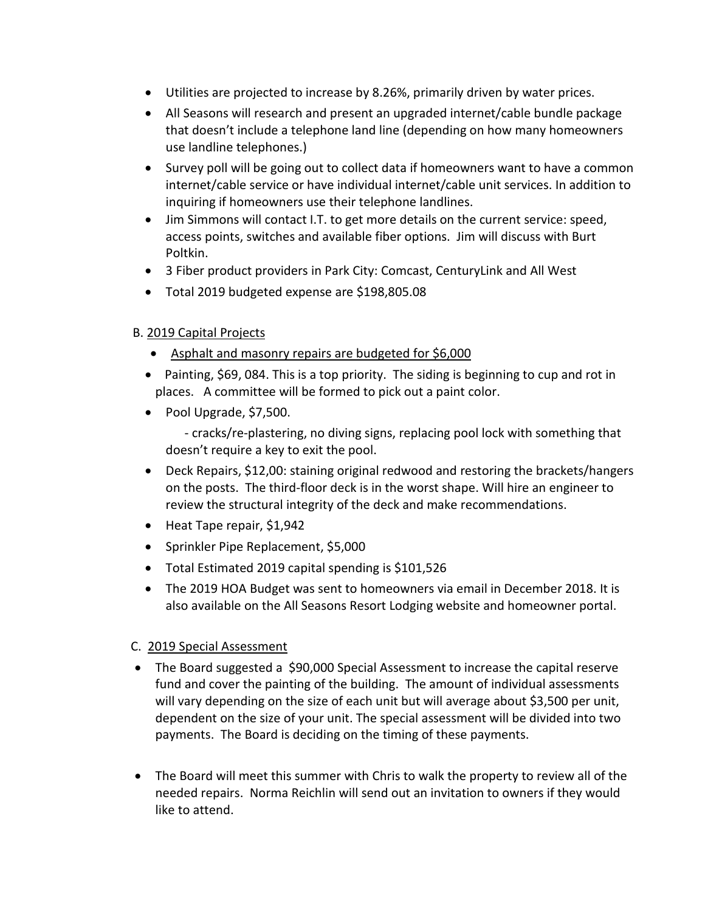- Utilities are projected to increase by 8.26%, primarily driven by water prices.
- All Seasons will research and present an upgraded internet/cable bundle package that doesn't include a telephone land line (depending on how many homeowners use landline telephones.)
- Survey poll will be going out to collect data if homeowners want to have a common internet/cable service or have individual internet/cable unit services. In addition to inquiring if homeowners use their telephone landlines.
- Jim Simmons will contact I.T. to get more details on the current service: speed, access points, switches and available fiber options. Jim will discuss with Burt Poltkin.
- 3 Fiber product providers in Park City: Comcast, CenturyLink and All West
- Total 2019 budgeted expense are \$198,805.08

# B. 2019 Capital Projects

- Asphalt and masonry repairs are budgeted for \$6,000
- Painting, \$69, 084. This is a top priority. The siding is beginning to cup and rot in places. A committee will be formed to pick out a paint color.
- Pool Upgrade, \$7,500.

 - cracks/re-plastering, no diving signs, replacing pool lock with something that doesn't require a key to exit the pool.

- Deck Repairs, \$12,00: staining original redwood and restoring the brackets/hangers on the posts. The third-floor deck is in the worst shape. Will hire an engineer to review the structural integrity of the deck and make recommendations.
- Heat Tape repair, \$1,942
- Sprinkler Pipe Replacement, \$5,000
- Total Estimated 2019 capital spending is \$101,526
- The 2019 HOA Budget was sent to homeowners via email in December 2018. It is also available on the All Seasons Resort Lodging website and homeowner portal.

## C. 2019 Special Assessment

- The Board suggested a \$90,000 Special Assessment to increase the capital reserve fund and cover the painting of the building. The amount of individual assessments will vary depending on the size of each unit but will average about \$3,500 per unit, dependent on the size of your unit. The special assessment will be divided into two payments. The Board is deciding on the timing of these payments.
- The Board will meet this summer with Chris to walk the property to review all of the needed repairs. Norma Reichlin will send out an invitation to owners if they would like to attend.